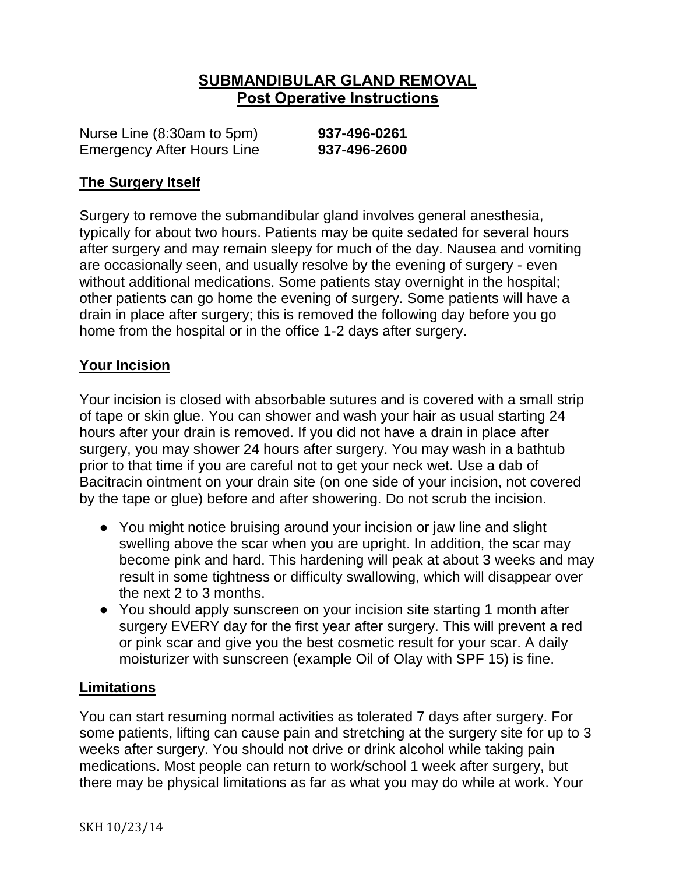# **SUBMANDIBULAR GLAND REMOVAL Post Operative Instructions**

Nurse Line (8:30am to 5pm) **937-496-0261** Emergency After Hours Line **937-496-2600**

### **The Surgery Itself**

Surgery to remove the submandibular gland involves general anesthesia, typically for about two hours. Patients may be quite sedated for several hours after surgery and may remain sleepy for much of the day. Nausea and vomiting are occasionally seen, and usually resolve by the evening of surgery - even without additional medications. Some patients stay overnight in the hospital; other patients can go home the evening of surgery. Some patients will have a drain in place after surgery; this is removed the following day before you go home from the hospital or in the office 1-2 days after surgery.

#### **Your Incision**

Your incision is closed with absorbable sutures and is covered with a small strip of tape or skin glue. You can shower and wash your hair as usual starting 24 hours after your drain is removed. If you did not have a drain in place after surgery, you may shower 24 hours after surgery. You may wash in a bathtub prior to that time if you are careful not to get your neck wet. Use a dab of Bacitracin ointment on your drain site (on one side of your incision, not covered by the tape or glue) before and after showering. Do not scrub the incision.

- You might notice bruising around your incision or jaw line and slight swelling above the scar when you are upright. In addition, the scar may become pink and hard. This hardening will peak at about 3 weeks and may result in some tightness or difficulty swallowing, which will disappear over the next 2 to 3 months.
- You should apply sunscreen on your incision site starting 1 month after surgery EVERY day for the first year after surgery. This will prevent a red or pink scar and give you the best cosmetic result for your scar. A daily moisturizer with sunscreen (example Oil of Olay with SPF 15) is fine.

### **Limitations**

You can start resuming normal activities as tolerated 7 days after surgery. For some patients, lifting can cause pain and stretching at the surgery site for up to 3 weeks after surgery. You should not drive or drink alcohol while taking pain medications. Most people can return to work/school 1 week after surgery, but there may be physical limitations as far as what you may do while at work. Your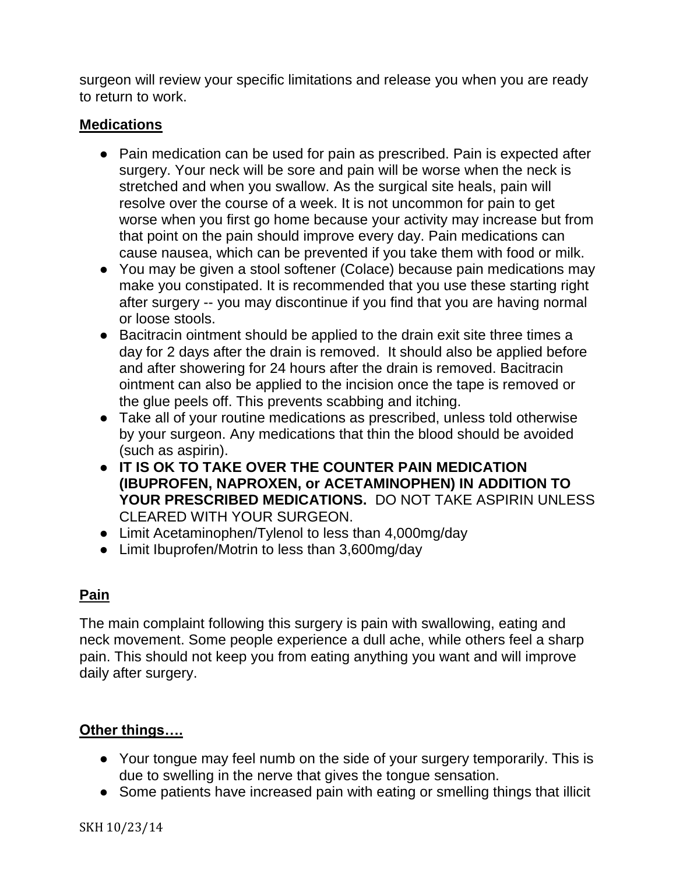surgeon will review your specific limitations and release you when you are ready to return to work.

### **Medications**

- Pain medication can be used for pain as prescribed. Pain is expected after surgery. Your neck will be sore and pain will be worse when the neck is stretched and when you swallow. As the surgical site heals, pain will resolve over the course of a week. It is not uncommon for pain to get worse when you first go home because your activity may increase but from that point on the pain should improve every day. Pain medications can cause nausea, which can be prevented if you take them with food or milk.
- You may be given a stool softener (Colace) because pain medications may make you constipated. It is recommended that you use these starting right after surgery -- you may discontinue if you find that you are having normal or loose stools.
- Bacitracin ointment should be applied to the drain exit site three times a day for 2 days after the drain is removed. It should also be applied before and after showering for 24 hours after the drain is removed. Bacitracin ointment can also be applied to the incision once the tape is removed or the glue peels off. This prevents scabbing and itching.
- Take all of your routine medications as prescribed, unless told otherwise by your surgeon. Any medications that thin the blood should be avoided (such as aspirin).
- **IT IS OK TO TAKE OVER THE COUNTER PAIN MEDICATION (IBUPROFEN, NAPROXEN, or ACETAMINOPHEN) IN ADDITION TO YOUR PRESCRIBED MEDICATIONS.** DO NOT TAKE ASPIRIN UNLESS CLEARED WITH YOUR SURGEON.
- Limit Acetaminophen/Tylenol to less than 4,000mg/day
- Limit Ibuprofen/Motrin to less than 3,600mg/day

## **Pain**

The main complaint following this surgery is pain with swallowing, eating and neck movement. Some people experience a dull ache, while others feel a sharp pain. This should not keep you from eating anything you want and will improve daily after surgery.

## **Other things….**

- Your tongue may feel numb on the side of your surgery temporarily. This is due to swelling in the nerve that gives the tongue sensation.
- Some patients have increased pain with eating or smelling things that illicit